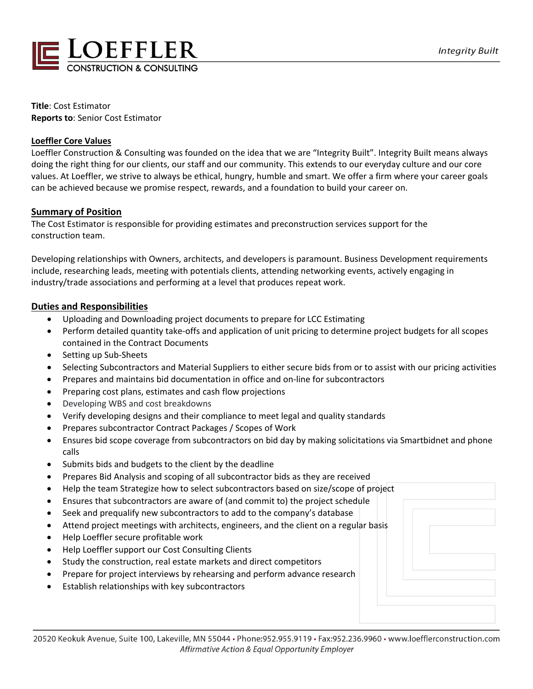

**Title**: Cost Estimator **Reports to**: Senior Cost Estimator

#### **Loeffler Core Values**

Loeffler Construction & Consulting was founded on the idea that we are "Integrity Built". Integrity Built means always doing the right thing for our clients, our staff and our community. This extends to our everyday culture and our core values. At Loeffler, we strive to always be ethical, hungry, humble and smart. We offer a firm where your career goals can be achieved because we promise respect, rewards, and a foundation to build your career on.

#### **Summary of Position**

The Cost Estimator is responsible for providing estimates and preconstruction services support for the construction team.

Developing relationships with Owners, architects, and developers is paramount. Business Development requirements include, researching leads, meeting with potentials clients, attending networking events, actively engaging in industry/trade associations and performing at a level that produces repeat work.

#### **Duties and Responsibilities**

- Uploading and Downloading project documents to prepare for LCC Estimating
- Perform detailed quantity take-offs and application of unit pricing to determine project budgets for all scopes contained in the Contract Documents
- Setting up Sub-Sheets
- Selecting Subcontractors and Material Suppliers to either secure bids from or to assist with our pricing activities
- Prepares and maintains bid documentation in office and on-line for subcontractors
- Preparing cost plans, estimates and cash flow projections
- Developing WBS and cost breakdowns
- Verify developing designs and their compliance to meet legal and quality standards
- Prepares subcontractor Contract Packages / Scopes of Work
- Ensures bid scope coverage from subcontractors on bid day by making solicitations via Smartbidnet and phone calls
- Submits bids and budgets to the client by the deadline
- Prepares Bid Analysis and scoping of all subcontractor bids as they are received
- Help the team Strategize how to select subcontractors based on size/scope of project
- Ensures that subcontractors are aware of (and commit to) the project schedule
- Seek and prequalify new subcontractors to add to the company's database
- Attend project meetings with architects, engineers, and the client on a regular basis
- Help Loeffler secure profitable work
- Help Loeffler support our Cost Consulting Clients
- Study the construction, real estate markets and direct competitors
- Prepare for project interviews by rehearsing and perform advance research
- Establish relationships with key subcontractors